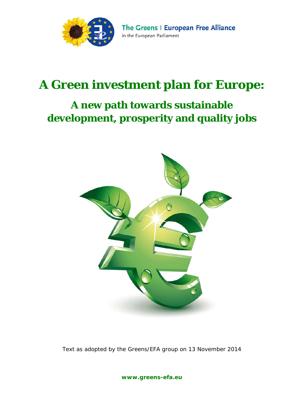

The Greens | European Free Alliance in the European Parliament

# **A Green investment plan for Europe:**

# **A new path towards sustainable development, prosperity and quality jobs**



*Text as adopted by the Greens/EFA group on 13 November 2014*

**www.greens-efa.eu**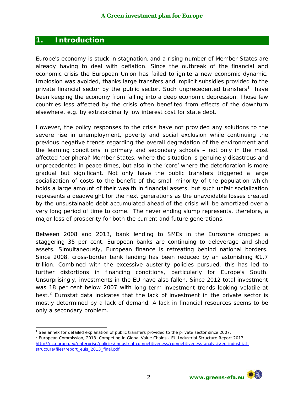# *1. Introduction*

Europe's economy is stuck in stagnation, and a rising number of Member States are already having to deal with deflation. Since the outbreak of the financial and economic crisis the European Union has failed to ignite a new economic dynamic. Implosion was avoided, thanks large transfers and implicit subsidies provided to the private financial sector by the public sector. Such unprecedented transfers<sup>[1](#page-1-0)</sup> have been keeping the economy from falling into a deep economic depression. Those few countries less affected by the crisis often benefited from effects of the downturn elsewhere, e.g. by extraordinarily low interest cost for state debt.

However, the policy responses to the crisis have not provided any solutions to the severe rise in unemployment, poverty and social exclusion while continuing the previous negative trends regarding the overall degradation of the environment and the learning conditions in primary and secondary schools – not only in the most affected 'peripheral' Member States, where the situation is genuinely disastrous and unprecedented in peace times, but also in the 'core' where the deterioration is more gradual but significant. Not only have the public transfers triggered a large socialization of costs to the benefit of the small minority of the population which holds a large amount of their wealth in financial assets, but such unfair socialization represents a deadweight for the next generations as the unavoidable losses created by the unsustainable debt accumulated ahead of the crisis will be amortized over a very long period of time to come. The never ending slump represents, therefore, a major loss of prosperity for both the current and future generations.

Between 2008 and 2013, bank lending to SMEs in the Eurozone dropped a staggering 35 per cent. European banks are continuing to deleverage and shed assets. Simultaneously, European finance is retreating behind national borders. Since 2008, cross-border bank lending has been reduced by an astonishing  $£1.7$ trillion. Combined with the excessive austerity policies pursued, this has led to further distortions in financing conditions, particularly for Europe's South. Unsurprisingly, investments in the EU have also fallen. Since 2012 total investment was 18 per cent below 2007 with long-term investment trends looking volatile at best. $<sup>2</sup>$  $<sup>2</sup>$  $<sup>2</sup>$  Eurostat data indicates that the lack of investment in the private sector is</sup> mostly determined by a lack of demand. A lack in financial resources seems to be only a secondary problem.

<span id="page-1-1"></span><sup>2</sup> European Commission, 2013. Competing in Global Value Chains - EU Industrial Structure Report 2013 [http://ec.europa.eu/enterprise/policies/industrial-competitiveness/competitiveness-analysis/eu-industrial](http://ec.europa.eu/enterprise/policies/industrial-competitiveness/competitiveness-analysis/eu-industrial-structure/files/report_euis_2013_final.pdf)[structure/files/report\\_euis\\_2013\\_final.pdf](http://ec.europa.eu/enterprise/policies/industrial-competitiveness/competitiveness-analysis/eu-industrial-structure/files/report_euis_2013_final.pdf)



<span id="page-1-0"></span> $\overline{a}$ <sup>1</sup> See annex for detailed explanation of public transfers provided to the private sector since 2007.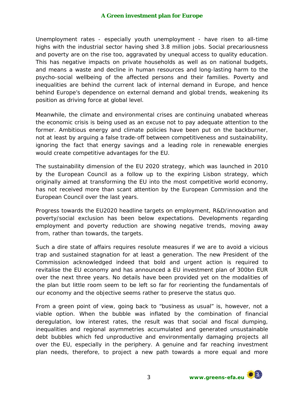#### **A Green investment plan for Europe**

Unemployment rates - especially youth unemployment - have risen to all-time highs with the industrial sector having shed 3.8 million jobs. Social precariousness and poverty are on the rise too, aggravated by unequal access to quality education. This has negative impacts on private households as well as on national budgets, and means a waste and decline in human resources and long-lasting harm to the psycho-social wellbeing of the affected persons and their families. Poverty and inequalities are behind the current lack of internal demand in Europe, and hence behind Europe's dependence on external demand and global trends, weakening its position as driving force at global level.

Meanwhile, the climate and environmental crises are continuing unabated whereas the economic crisis is being used as an excuse not to pay adequate attention to the former. Ambitious energy and climate policies have been put on the backburner, not at least by arguing a false trade-off between competitiveness and sustainability, ignoring the fact that energy savings and a leading role in renewable energies would create competitive advantages for the EU.

The sustainability dimension of the EU 2020 strategy, which was launched in 2010 by the European Council as a follow up to the expiring Lisbon strategy, which originally aimed at transforming the EU into the most competitive world economy, has not received more than scant attention by the European Commission and the European Council over the last years.

Progress towards the EU2020 headline targets on employment, R&D/innovation and poverty/social exclusion has been below expectations. Developments regarding employment and poverty reduction are showing negative trends, moving away from, rather than towards, the targets.

Such a dire state of affairs requires resolute measures if we are to avoid a vicious trap and sustained stagnation for at least a generation. The new President of the Commission acknowledged indeed that bold and urgent action is required to revitalise the EU economy and has announced a EU investment plan of 300bn EUR over the next three years. No details have been provided yet on the modalities of the plan but little room seem to be left so far for reorienting the fundamentals of our economy and the objective seems rather to preserve the status quo.

From a green point of view, going back to "business as usual" is, however, not a viable option. When the bubble was inflated by the combination of financial deregulation, low interest rates, the result was that social and fiscal dumping, inequalities and regional asymmetries accumulated and generated unsustainable debt bubbles which fed unproductive and environmentally damaging projects all over the EU, especially in the periphery. A genuine and far reaching investment plan needs, therefore, to project a new path towards a more equal and more

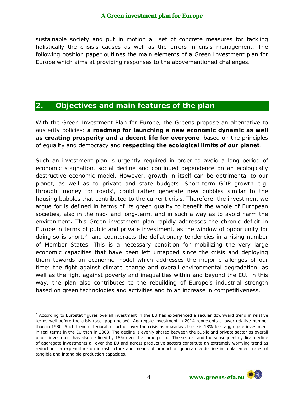sustainable society and put in motion a set of concrete measures for tackling holistically the crisis's causes as well as the errors in crisis management. The following position paper outlines the main elements of a Green Investment plan for Europe which aims at providing responses to the abovementioned challenges.

# *2. Objectives and main features of the plan*

With the Green Investment Plan for Europe, the Greens propose an alternative to austerity policies: **a roadmap for launching a new economic dynamic as well as creating prosperity and a decent life for everyone**, based on the principles of equality and democracy and **respecting the ecological limits of our planet**.

Such an investment plan is urgently required in order to avoid a long period of economic stagnation, social decline and continued dependence on an ecologically destructive economic model. However, growth in itself can be detrimental to our planet, as well as to private and state budgets. Short-term GDP growth e.g. through 'money for roads', could rather generate new bubbles similar to the housing bubbles that contributed to the current crisis. Therefore, the investment we argue for is defined in terms of its green quality to benefit the whole of European societies, also in the mid- and long-term, and in such a way as to avoid harm the environment**.** This Green investment plan rapidly addresses the chronic deficit in Europe in terms of public and private investment, as the window of opportunity for doing so is short,<sup>[3](#page-3-0)</sup> and counteracts the deflationary tendencies in a rising number of Member States. This is a necessary condition for mobilizing the very large economic capacities that have been left untapped since the crisis and deploying them towards an economic model which addresses the major challenges of our time: the fight against climate change and overall environmental degradation, as well as the fight against poverty and inequalities within and beyond the EU. In this way, the plan also contributes to the rebuilding of Europe's industrial strength based on green technologies and activities and to an increase in competitiveness.

 $\ddot{\phantom{a}}$ 



<span id="page-3-0"></span><sup>&</sup>lt;sup>3</sup> According to Eurostat figures overall investment in the EU has experienced a secular downward trend in relative terms well before the crisis (see graph below). Aggregate investment in 2014 represents a lower relative number than in 1980. Such trend deteriorated further over the crisis as nowadays there is 18% less aggregate investment in real terms in the EU than in 2008. The decline is evenly shared between the public and private sector as overall public investment has also declined by 18% over the same period. The secular and the subsequent cyclical decline of aggregate investments all over the EU and across productive sectors constitute an extremely worrying trend as reductions in expenditure on infrastructure and means of production generate a decline in replacement rates of tangible and intangible production capacities.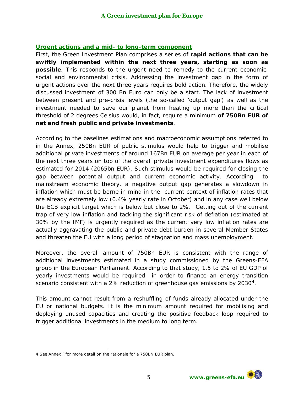# *Urgent actions and a mid- to long-term component*

First, the Green Investment Plan comprises a series of **rapid actions that can be swiftly implemented within the next three years, starting as soon as possible**. This responds to the urgent need to remedy to the current economic, social and environmental crisis. Addressing the investment gap in the form of urgent actions over the next three years requires bold action. Therefore, the widely discussed investment of 300 Bn Euro can only be a start. The lack of investment between present and pre-crisis levels (the so-called 'output gap') as well as the investment needed to save our planet from heating up more than the critical threshold of 2 degrees Celsius would, in fact, require a minimum **of 750Bn EUR of net and fresh public and private investments**.

According to the baselines estimations and macroeconomic assumptions referred to in the Annex, 250Bn EUR of public stimulus would help to trigger and mobilise additional private investments of around 167Bn EUR on average per year in each of the next three years on top of the overall private investment expenditures flows as estimated for 2014 (2065bn EUR). Such stimulus would be required for closing the gap between potential output and current economic activity. According to mainstream economic theory, a negative output gap generates a slowdown in inflation which must be borne in mind in the current context of inflation rates that are already extremely low (0.4% yearly rate in October) and in any case well below the ECB explicit target which is below but close to 2%. Getting out of the current trap of very low inflation and tackling the significant risk of deflation (estimated at 30% by the IMF) is urgently required as the current very low inflation rates are actually aggravating the public and private debt burden in several Member States and threaten the EU with a long period of stagnation and mass unemployment.

Moreover, the overall amount of 750Bn EUR is consistent with the range of additional investments estimated in a study commissioned by the Greens-EFA group in the European Parliament. According to that study, 1.5 to 2% of EU GDP of yearly investments would be required in order to finance an energy transition scenario consistent with a 2% reduction of greenhouse gas emissions by 2030**[4](#page-4-0)** .

This amount cannot result from a reshuffling of funds already allocated under the EU or national budgets. It is the minimum amount required for mobilising and deploying unused capacities and creating the positive feedback loop required to trigger additional investments in the medium to long term.

<span id="page-4-0"></span> $\overline{a}$ 4 See Annex I for more detail on the rationale for a 750BN EUR plan.

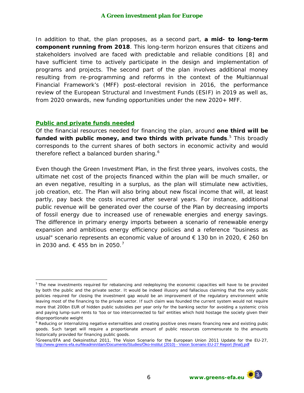In addition to that, the plan proposes, as a second part, **a mid- to long-term component running from 2018**. This long-term horizon ensures that citizens and stakeholders involved are faced with predictable and reliable conditions [\[8\]](https://docs.google.com/document/d/1TOWzIpl39w8PqoIrTk-l3_dnmazBwJbGq7lFZ5HfQj4/edit#_ftn8) and have sufficient time to actively participate in the design and implementation of programs and projects. The second part of the plan involves additional money resulting from re-programming and reforms in the context of the Multiannual Financial Framework's (MFF) post-electoral revision in 2016, the performance review of the European Structural and Investment Funds (ESIF) in 2019 as well as, from 2020 onwards, new funding opportunities under the new 2020+ MFF.

#### *Public and private funds needed*

Of the financial resources needed for financing the plan, around **one third will be funded with public money, and two thirds with private funds**. [5](#page-5-0) This broadly corresponds to the current shares of both sectors in economic activity and would therefore reflect a balanced burden sharing.<sup>[6](#page-5-1)</sup>

Even though the Green Investment Plan, in the first three years, involves costs, the ultimate net cost of the projects financed within the plan will be much smaller, or an even negative, resulting in a surplus, as the plan will stimulate new activities, job creation, etc. The Plan will also bring about new fiscal income that will, at least partly, pay back the costs incurred after several years. For instance, additional public revenue will be generated over the course of the Plan by decreasing imports of fossil energy due to increased use of renewable energies and energy savings. The difference in primary energy imports between a scenario of renewable energy expansion and ambitious energy efficiency policies and a reference "business as usual" scenario represents an economic value of around € 130 bn in 2020, € 260 bn in 2030 and. € 455 bn in 2050.<sup>[7](#page-5-2)</sup>



<span id="page-5-0"></span> $\overline{a}$ <sup>5</sup> The new investments required for rebalancing and redeploying the economic capacities will have to be provided by both the public and the private sector. It would be indeed illusory and fallacious claiming that the only public policies required for closing the investment gap would be an improvement of the regulatory environment while leaving most of the financing to the private sector. If such claim was founded the current system would not require more that 200bn EUR of hidden public subsidies per year only for the banking sector for avoiding a systemic crisis and paying lump-sum rents to 'too or too interconnected to fail' entities which hold hostage the society given their disproportionate weight

<span id="page-5-1"></span><sup>&</sup>lt;sup>6</sup> Reducing or internalizing negative externalities and creating positive ones means financing new and existing pubic goods. Such target will require a proportionate amount of public resources commensurate to the amounts historically provided for financing public goods.

<span id="page-5-2"></span><sup>&</sup>lt;sup>7</sup>Greens/EFA and Oekoinstitut 2011, The Vision Scenario for the European Union 2011 Update for the EU-27, [http://www.greens-efa.eu/fileadmin/dam/Documents/Studies/Öko-Institut \(2010\) -](http://www.greens-efa.eu/fileadmin/dam/Documents/Studies/Öko-Institut%20(2010)%20-%20Vision%20Scenario%20EU-27%20Report%20(final).pdf) Vision Scenario EU-27 Report (final).pdf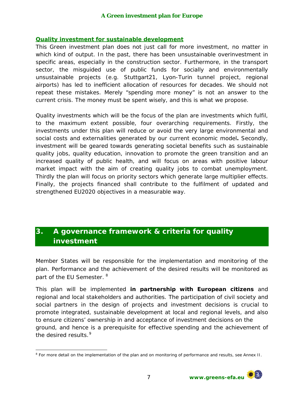#### **A Green investment plan for Europe**

#### *Quality investment for sustainable development*

This Green investment plan does not just call for more investment, no matter in which kind of output. In the past, there has been unsustainable overinvestment in specific areas, especially in the construction sector. Furthermore, in the transport sector, the misguided use of public funds for socially and environmentally unsustainable projects (e.g. Stuttgart21, Lyon-Turin tunnel project, regional airports) has led to inefficient allocation of resources for decades. We should not repeat these mistakes. Merely "spending more money" is not an answer to the current crisis. The money must be spent wisely, and this is what we propose.

Quality investments which will be the focus of the plan are investments which fulfil, to the maximum extent possible, four overarching requirements. Firstly, the investments under this plan will reduce or avoid the very large environmental and social costs and externalities generated by our current economic model**.** Secondly, investment will be geared towards generating societal benefits such as sustainable quality jobs, quality education, innovation to promote the green transition and an increased quality of public health, and will focus on areas with positive labour market impact with the aim of creating quality jobs to combat unemployment. Thirdly the plan will focus on priority sectors which generate large multiplier effects. Finally, the projects financed shall contribute to the fulfilment of updated and strengthened EU2020 objectives in a measurable way.

# <span id="page-6-1"></span>*3. A governance framework & criteria for quality investment*

Member States will be responsible for the implementation and monitoring of the plan. Performance and the achievement of the desired results will be monitored as part of the EU Semester. <sup>[8](#page-6-0)</sup>

This plan will be implemented **in partnership with European citizens** and regional and local stakeholders and authorities. The participation of civil society and social partners in the design of projects and investment decisions is crucial to promote integrated, sustainable development at local and regional levels, and also to ensure citizens' ownership in and acceptance of investment decisions on the ground, and hence is a prerequisite for effective spending and the achievement of the desired results.<sup>[9](#page-6-1)</sup>

<span id="page-6-0"></span> $\overline{a}$ <sup>8</sup> For more detail on the implementation of the plan and on monitoring of performance and results, see Annex II.

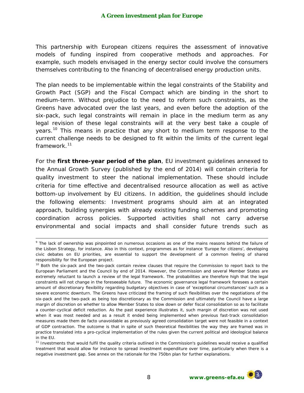This partnership with European citizens requires the assessment of innovative models of funding inspired from cooperative methods and approaches. For example, such models envisaged in the energy sector could involve the consumers themselves contributing to the financing of decentralised energy production units.

The plan needs to be implementable within the legal constraints of the Stability and Growth Pact (SGP) and the Fiscal Compact which are binding in the short to medium-term. Without prejudice to the need to reform such constraints, as the Greens have advocated over the last years, and even before the adoption of the six-pack, such legal constraints will remain in place in the medium term as any legal revision of these legal constraints will at the very best take a couple of years.<sup>[10](#page-7-0)</sup> This means in practice that any short to medium term response to the current challenge needs to be designed to fit within the limits of the current legal framework.<sup>[11](#page-7-1)</sup>

For the **first three-year period of the plan**, EU investment guidelines annexed to the Annual Growth Survey (published by the end of 2014) will contain criteria for quality investment to steer the national implementation. These should include criteria for time effective and decentralised resource allocation as well as active bottom-up involvement by EU citizens. In addition, the guidelines should include the following elements: Investment programs should aim at an integrated approach, building synergies with already existing funding schemes and promoting coordination across policies. Supported activities shall not carry adverse environmental and social impacts and shall consider future trends such as

-

<span id="page-7-1"></span>treatment that would allow for instance to spread investment expenditure over time, particularly when there is a negative investment gap. See annex on the rationale for the 750bn plan for further explanations.



<sup>&</sup>lt;sup>9</sup> The lack of ownership was pinpointed on numerous occasions as one of the mains reasons behind the failure of the Lisbon Strategy, for instance. Also in this context, programmes as for instance 'Europe for citizens', developing civic debates on EU priorities, are essential to support the development of a common feeling of shared responsibility for the European project.

<span id="page-7-0"></span> $10$  Both the six-pack and the two-pack contain review clauses that require the Commission to report back to the European Parliament and the Council by end of 2014. However, the Commission and several Member States are extremely reluctant to launch a review of the legal framework. The probabilities are therefore high that the legal constraints will not change in the foreseeable future. The economic governance legal framework foresees a certain amount of discretionary flexibility regarding budgetary objectives in case of 'exceptional circumstances' such as a severe economic downturn. The Greens have criticized the framing of such flexibilities over the negotiations of the six-pack and the two-pack as being too discretionary as the Commission and ultimately the Council have a large margin of discretion on whether to allow Member States to slow down or defer fiscal consolidation so as to facilitate a counter-cyclical deficit reduction. As the past experience illustrates it, such margin of discretion was not used when it was most needed and as a result it ended being implemented when previous fast-track consolidation measures made them de facto unavoidable as previously agreed consolidation target were not feasible in a context of GDP contraction. The outcome is that in spite of such theoretical flexibilities the way they are framed was in practice translated into a pro-cyclical implementation of the rules given the current political and ideological balance in the EU.<br><sup>11</sup> Investments that would fulfil the quality criteria outlined in the Commission's guidelines would receive a qualified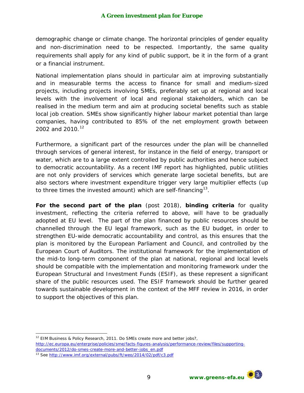#### **A Green investment plan for Europe**

demographic change or climate change. The horizontal principles of gender equality and non-discrimination need to be respected. Importantly, the same quality requirements shall apply for any kind of public support, be it in the form of a grant or a financial instrument.

National implementation plans should in particular aim at improving substantially and in measurable terms the access to finance for small and medium-sized projects, including projects involving SMEs, preferably set up at regional and local levels with the involvement of local and regional stakeholders, which can be realised in the medium term and aim at producing societal benefits such as stable local job creation. SMEs show significantly higher labour market potential than large companies, having contributed to 85% of the net employment growth between 2002 and 2010.<sup>[12](#page-8-0)</sup>

Furthermore, a significant part of the resources under the plan will be channelled through services of general interest, for instance in the field of energy, transport or water, which are to a large extent controlled by public authorities and hence subject to democratic accountability. As a recent IMF report has highlighted, public utilities are not only providers of services which generate large societal benefits, but are also sectors where investment expenditure trigger very large multiplier effects (up to three times the invested amount) which are self-financing<sup>[13](#page-8-1)</sup>.

**For the second part of the plan** (post 2018), **binding criteria** for quality investment, reflecting the criteria referred to above, will have to be gradually adopted at EU level. The part of the plan financed by public resources should be channelled through the EU legal framework, such as the EU budget, in order to strengthen EU-wide democratic accountability and control, as this ensures that the plan is monitored by the European Parliament and Council, and controlled by the European Court of Auditors. The institutional framework for the implementation of the mid-to long-term component of the plan at national, regional and local levels should be compatible with the implementation and monitoring framework under the European Structural and Investment Funds (ESIF), as these represent a significant share of the public resources used. The ESIF framework should be further geared towards sustainable development in the context of the MFF review in 2016, in order to support the objectives of this plan.

<span id="page-8-1"></span><sup>13</sup> See<http://www.imf.org/external/pubs/ft/weo/2014/02/pdf/c3.pdf>



<span id="page-8-0"></span> $\ddot{\phantom{a}}$  $12$  EIM Business & Policy Research, 2011. Do SMEs create more and better jobs?, [http://ec.europa.eu/enterprise/policies/sme/facts-figures-analysis/performance-review/files/supporting](http://ec.europa.eu/enterprise/policies/sme/facts-figures-analysis/performance-review/files/supporting-documents/2012/do-smes-create-more-and-better-jobs_en.pdf)[documents/2012/do-smes-create-more-and-better-jobs\\_en.pdf](http://ec.europa.eu/enterprise/policies/sme/facts-figures-analysis/performance-review/files/supporting-documents/2012/do-smes-create-more-and-better-jobs_en.pdf)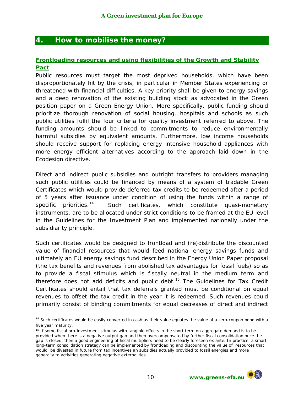# *4. How to mobilise the money?*

# *Frontloading resources and using flexibilities of the Growth and Stability Pact*

Public resources must target the most deprived households, which have been disproportionately hit by the crisis, in particular in Member States experiencing or threatened with financial difficulties. A key priority shall be given to energy savings and a deep renovation of the existing building stock as advocated in the Green position paper on a Green Energy Union. More specifically, public funding should prioritize thorough renovation of social housing, hospitals and schools as such public utilities fulfil the four criteria for quality investment referred to above. The funding amounts should be linked to commitments to reduce environmentally harmful subsidies by equivalent amounts. Furthermore, low income households should receive support for replacing energy intensive household appliances with more energy efficient alternatives according to the approach laid down in the Ecodesign directive.

Direct and indirect public subsidies and outright transfers to providers managing such public utilities could be financed by means of a system of tradable Green Certificates which would provide deferred tax credits to be redeemed after a period of 5 years after issuance under condition of using the funds within a range of specific priorities.<sup>14</sup> Such certificates, which constitute quasi-monetary instruments, are to be allocated under strict conditions to be framed at the EU level in the Guidelines for the Investment Plan and implemented nationally under the subsidiarity principle.

Such certificates would be designed to frontload and (re)distribute the discounted value of financial resources that would feed national energy savings funds and ultimately an EU energy savings fund described in the Energy Union Paper proposal (the tax benefits and revenues from abolished tax advantages for fossil fuels) so as to provide a fiscal stimulus which is fiscally neutral in the medium term and therefore does not add deficits and public debt. [15](#page-9-1) The Guidelines for Tax Credit Certificates should entail that tax deferrals granted must be conditional on equal revenues to offset the tax credit in the year it is redeemed. Such revenues could primarily consist of binding commitments for equal decreases of direct and indirect

<span id="page-9-1"></span><sup>&</sup>lt;sup>15</sup> If some fiscal pro-investment stimulus with tangible effects in the short term on aggregate demand is to be provided when there is a negative output gap and then overcompensated by further fiscal consolidation once the gap is closed, then a good engineering of fiscal multipliers need to be clearly foreseen ex ante. In practice, a smart long-term consolidation strategy can be implemented by frontloading and discounting the value of resources that would be divested in future from tax incentives an subsidies actually provided to fossil energies and more generally to activities generating negative externalities.



<span id="page-9-0"></span> $\ddot{\phantom{a}}$  $14$  Such certificates would be easily converted in cash as their value equates the value of a zero-coupon bond with a five year maturity.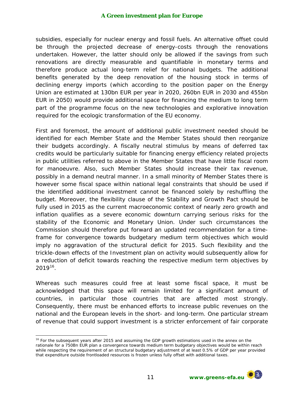subsidies, especially for nuclear energy and fossil fuels. An alternative offset could be through the projected decrease of energy-costs through the renovations undertaken. However, the latter should only be allowed if the savings from such renovations are directly measurable and quantifiable in monetary terms and therefore produce actual long-term relief for national budgets. The additional benefits generated by the deep renovation of the housing stock in terms of declining energy imports (which according to the position paper on the Energy Union are estimated at 130bn EUR per year in 2020, 260bn EUR in 2030 and 455bn EUR in 2050) would provide additional space for financing the medium to long term part of the programme focus on the new technologies and explorative innovation required for the ecologic transformation of the EU economy.

First and foremost, the amount of additional public investment needed should be identified for each Member State and the Member States should then reorganize their budgets accordingly. A fiscally neutral stimulus by means of deferred tax credits would be particularly suitable for financing energy efficiency related projects in public utilities referred to above in the Member States that have little fiscal room for manoeuvre. Also, such Member States should increase their tax revenue, possibly in a demand neutral manner. In a small minority of Member States there is however some fiscal space within national legal constraints that should be used if the identified additional investment cannot be financed solely by reshuffling the budget. Moreover, the flexibility clause of the Stability and Growth Pact should be fully used in 2015 as the current macroeconomic context of nearly zero growth and inflation qualifies as a severe economic downturn carrying serious risks for the stability of the Economic and Monetary Union. Under such circumstances the Commission should therefore put forward an updated recommendation for a timeframe for convergence towards budgetary medium term objectives which would imply no aggravation of the structural deficit for 2015. Such flexibility and the trickle-down effects of the Investment plan on activity would subsequently allow for a reduction of deficit towards reaching the respective medium term objectives by 2019[16](#page-10-0).

Whereas such measures could free at least some fiscal space, it must be acknowledged that this space will remain limited for a significant amount of countries, in particular those countries that are affected most strongly. Consequently, there must be enhanced efforts to increase public revenues on the national and the European levels in the short- and long-term. One particular stream of revenue that could support investment is a stricter enforcement of fair corporate

<span id="page-10-0"></span> $\ddot{\phantom{a}}$ <sup>16</sup> For the subsequent years after 2015 and assuming the GDP growth estimations used in the annex on the rationale for a 750Bn EUR plan a convergence towards medium term budgetary objectives would be within reach while respecting the requirement of an structural budgetary adjustment of at least 0.5% of GDP per year provided that expenditure outside frontloaded resources is frozen unless fully offset with additional taxes.

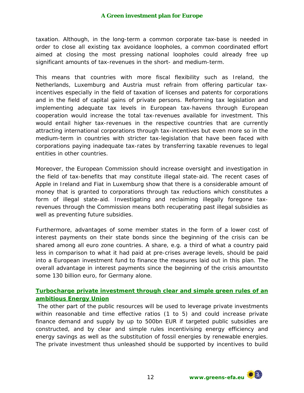taxation. Although, in the long-term a common corporate tax-base is needed in order to close all existing tax avoidance loopholes, a common coordinated effort aimed at closing the most pressing national loopholes could already free up significant amounts of tax-revenues in the short- and medium-term.

This means that countries with more fiscal flexibility such as Ireland, the Netherlands, Luxemburg and Austria must refrain from offering particular taxincentives especially in the field of taxation of licenses and patents for corporations and in the field of capital gains of private persons. Reforming tax legislation and implementing adequate tax levels in European tax-havens through European cooperation would increase the total tax-revenues available for investment. This would entail higher tax-revenues in the respective countries that are currently attracting international corporations through tax-incentives but even more so in the medium-term in countries with stricter tax-legislation that have been faced with corporations paying inadequate tax-rates by transferring taxable revenues to legal entities in other countries.

Moreover, the European Commission should increase oversight and investigation in the field of tax-benefits that may constitute illegal state-aid. The recent cases of Apple in Ireland and Fiat in Luxemburg show that there is a considerable amount of money that is granted to corporations through tax reductions which constitutes a form of illegal state-aid. Investigating and reclaiming illegally foregone taxrevenues through the Commission means both recuperating past illegal subsidies as well as preventing future subsidies.

Furthermore, advantages of some member states in the form of a lower cost of interest payments on their state bonds since the beginning of the crisis can be shared among all euro zone countries. A share, e.g. a third of what a country paid less in comparison to what it had paid at pre-crises average levels, should be paid into a European investment fund to finance the measures laid out in this plan. The overall advantage in interest payments since the beginning of the crisis amountsto some 130 billion euro, for Germany alone.

# *Turbocharge private investment through clear and simple green rules of an ambitious Energy Union*

The other part of the public resources will be used to leverage private investments within reasonable and time effective ratios (1 to 5) and could increase private finance demand and supply by up to 500bn EUR if targeted public subsidies are constructed, and by clear and simple rules incentivising energy efficiency and energy savings as well as the substitution of fossil energies by renewable energies. The private investment thus unleashed should be supported by incentives to build

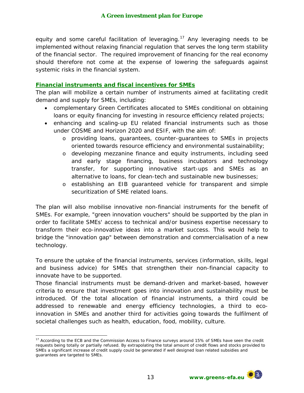equity and some careful facilitation of leveraging.<sup>[17](#page-12-0)</sup> Any leveraging needs to be implemented without relaxing financial regulation that serves the long term stability of the financial sector. The required improvement of financing for the real economy should therefore not come at the expense of lowering the safeguards against systemic risks in the financial system.

## *Financial instruments and fiscal incentives for SMEs*

The plan will mobilize a certain number of instruments aimed at facilitating credit demand and supply for SMEs, including:

- complementary Green Certificates allocated to SMEs conditional on obtaining loans or equity financing for investing in resource efficiency related projects;
- enhancing and scaling-up EU related financial instruments such as those under COSME and Horizon 2020 and ESIF, with the aim of:
	- o providing loans, guarantees, counter-guarantees to SMEs in projects oriented towards resource efficiency and environmental sustainability;
	- o developing mezzanine finance and equity instruments, including seed and early stage financing, business incubators and technology transfer, for supporting innovative start-ups and SMEs as an alternative to loans, for clean-tech and sustainable new businesses;
	- o establishing an EIB guaranteed vehicle for transparent and simple securitization of SME related loans.

The plan will also mobilise innovative non-financial instruments for the benefit of SMEs. For example, "green innovation vouchers" should be supported by the plan in order to facilitate SMEs' access to technical and/or business expertise necessary to transform their eco-innovative ideas into a market success. This would help to bridge the "innovation gap" between demonstration and commercialisation of a new technology.

To ensure the uptake of the financial instruments, services (information, skills, legal and business advice) for SMEs that strengthen their non-financial capacity to innovate have to be supported.

Those financial instruments must be demand-driven and market-based, however criteria to ensure that investment goes into innovation and sustainability must be introduced. Of the total allocation of financial instruments, a third could be addressed to renewable and energy efficiency technologies, a third to ecoinnovation in SMEs and another third for activities going towards the fulfilment of societal challenges such as health, education, food, mobility, culture.

<span id="page-12-0"></span> $\ddot{\phantom{a}}$  $17$  According to the ECB and the Commission Access to Finance surveys around 15% of SMEs have seen the credit requests being totally or partially refused. By extrapolating the total amount of credit flows and stocks provided to SMEs a significant increase of credit supply could be generated if well designed loan related subsidies and guarantees are targeted to SMEs.

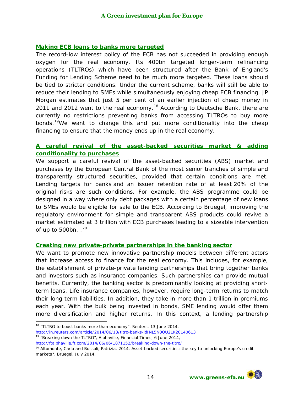#### *Making ECB loans to banks more targeted*

The record-low interest policy of the ECB has not succeeded in providing enough oxygen for the real economy. Its 400bn targeted longer-term refinancing operations (TLTROs) which have been structured after the Bank of England's Funding for Lending Scheme need to be much more targeted. These loans should be tied to stricter conditions. Under the current scheme, banks will still be able to reduce their lending to SMEs while simultaneously enjoying cheap ECB financing. JP Morgan estimates that just 5 per cent of an earlier injection of cheap money in 2011 and 2012 went to the real economy.<sup>[18](#page-13-0)</sup> According to Deutsche Bank, there are currently no restrictions preventing banks from accessing TLTROs to buy more bonds.<sup>[19](#page-13-1)</sup>We want to change this and put more conditionality into the cheap financing to ensure that the money ends up in the real economy.

# *A careful revival of the asset-backed securities market & adding conditionality to purchases*

We support a careful revival of the asset-backed securities (ABS) market and purchases by the European Central Bank of the most senior tranches of simple and transparently structured securities, provided that certain conditions are met. Lending targets for banks and an issuer retention rate of at least 20% of the original risks are such conditions. For example, the ABS programme could be designed in a way where only debt packages with a certain percentage of new loans to SMEs would be eligible for sale to the ECB. According to Bruegel, improving the regulatory environment for simple and transparent ABS products could revive a market estimated at 3 trillion with ECB purchases leading to a sizeable intervention of up to 500bn. . [20](#page-13-2)

#### *Creating new private-private partnerships in the banking sector*

We want to promote new innovative partnership models between different actors that increase access to finance for the real economy. This includes, for example, the establishment of private-private lending partnerships that bring together banks and investors such as insurance companies. Such partnerships can provide mutual benefits. Currently, the banking sector is predominantly looking at providing shortterm loans. Life insurance companies, however, require long-term returns to match their long term liabilities. In addition, they take in more than 1 trillion in premiums each year. With the bulk being invested in bonds, SME lending would offer them more diversification and higher returns. In this context, a lending partnership

 $\overline{a}$ 

<span id="page-13-2"></span><sup>&</sup>lt;sup>20</sup> Altomonte, Carlo and Bussoli, Patrizia, 2014. Asset-backed securities: the key to unlocking Europe's credit markets?, Bruegel, July 2014.



<span id="page-13-0"></span> $18$ "TLTRO to boost banks more than economy", Reuters, 13 June 2014, <http://in.reuters.com/article/2014/06/13/tltro-banks-idINL5N0OU2LK20140613>

<span id="page-13-1"></span><sup>&</sup>lt;sup>19</sup> "Breaking down the TLTRO"[,](http://ftalphaville.ft.com/2014/06/06/1871152/breaking-down-the-tltro/) Alphaville, Financial Times, 6 June 2014, <http://ftalphaville.ft.com/2014/06/06/1871152/breaking-down-the-tltro/>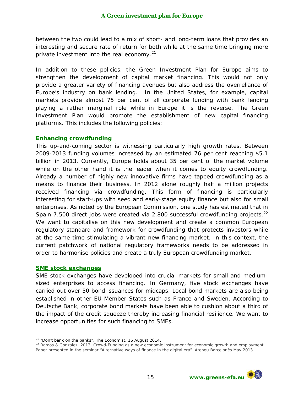between the two could lead to a mix of short- and long-term loans that provides an interesting and secure rate of return for both while at the same time bringing more private investment into the real economy.<sup>[21](#page-14-0)</sup>

In addition to these policies, the Green Investment Plan for Europe aims to strengthen the development of capital market financing. This would not only provide a greater variety of financing avenues but also address the overreliance of Europe's industry on bank lending. In the United States, for example, capital markets provide almost 75 per cent of all corporate funding with bank lending playing a rather marginal role while in Europe it is the reverse. The Green Investment Plan would promote the establishment of new capital financing platforms. This includes the following policies:

#### *Enhancing crowdfunding*

This up-and-coming sector is witnessing particularly high growth rates. Between 2009-2013 funding volumes increased by an estimated 76 per cent reaching \$5.1 billion in 2013. Currently, Europe holds about 35 per cent of the market volume while on the other hand it is the leader when it comes to equity crowdfunding. Already a number of highly new innovative firms have tapped crowdfunding as a means to finance their business. In 2012 alone roughly half a million projects received financing via crowdfunding. This form of financing is particularly interesting for start-ups with seed and early-stage equity finance but also for small enterprises. As noted by the European Commission, one study has estimated that in Spain 7.500 direct jobs were created via 2.800 successful crowdfunding projects.<sup>[22](#page-14-1)</sup> We want to capitalise on this new development and create a common European regulatory standard and framework for crowdfunding that protects investors while at the same time stimulating a vibrant new financing market. In this context, the current patchwork of national regulatory frameworks needs to be addressed in order to harmonise policies and create a truly European crowdfunding market.

#### *SME stock exchanges*

SME stock exchanges have developed into crucial markets for small and mediumsized enterprises to access financing. In Germany, five stock exchanges have carried out over 50 bond issuances for midcaps. Local bond markets are also being established in other EU Member States such as France and Sweden. According to Deutsche Bank, corporate bond markets have been able to cushion about a third of the impact of the credit squeeze thereby increasing financial resilience. We want to increase opportunities for such financing to SMEs.

<span id="page-14-1"></span><span id="page-14-0"></span><sup>&</sup>lt;sup>22</sup> Ramos & Gonzalez, 2013. Crowd-Funding as a new economic instrument for economic growth and employment. Paper presented in the seminar "Alternative ways of finance in the digital era". Ateneu Barcelonès May 2013.



 $\ddot{\phantom{a}}$  $21$  "Don't bank on the banks", The Economist, 16 August 2014.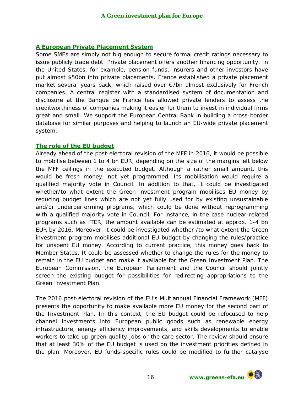# *A European Private Placement System*

Some SMEs are simply not big enough to secure formal credit ratings necessary to issue publicly trade debt. Private placement offers another financing opportunity. In the United States, for example, pension funds, insurers and other investors have put almost \$50bn into private placements. France established a private placement market several years back, which raised over €7bn almost exclusively for French companies. A central register with a standardised system of documentation and disclosure at the Banque de France has allowed private lenders to assess the creditworthiness of companies making it easier for them to invest in individual firms great and small. We support the European Central Bank in building a cross-border database for similar purposes and helping to launch an EU-wide private placement system.

# *The role of the EU budget*

Already ahead of the post-electoral revision of the MFF in 2016, it would be possible to mobilise between 1 to 4 bn EUR, depending on the size of the margins left below the MFF ceilings in the executed budget. Although a rather small amount, this would be fresh money, not yet programmed. Its mobilisation would require a qualified majority vote in Council. In addition to that, it could be investigated whether/to what extent the Green investment program mobilises EU money by reducing budget lines which are not yet fully used for by existing unsustainable and/or underperforming programs, which could be done without reprogramming with a qualified majority vote in Council. For instance, in the case nuclear-related programs such as ITER, the amount available can be estimated at approx. 1-4 bn EUR by 2016. Moreover, it could be investigated whether /to what extent the Green investment program mobilises additional EU budget by changing the rules/practice for unspent EU money. According to current practice, this money goes back to Member States. It could be assessed whether to change the rules for the money to remain in the EU budget and make it available for the Green Investment Plan. The European Commission, the European Parliament and the Council should jointly screen the existing budget for possibilities for redirecting appropriations to the Green Investment Plan.

The 2016 post-electoral revision of the EU's Multiannual Financial Framework (MFF) presents the opportunity to make available more EU money for the second part of the Investment Plan. In this context, the EU budget could be refocused to help channel investments into European public goods such as renewable energy infrastructure, energy efficiency improvements, and skills developments to enable workers to take up green quality jobs or the care sector. The review should ensure that at least 30% of the EU budget is used on the investment priorities defined in the plan. Moreover, EU funds-specific rules could be modified to further catalyse

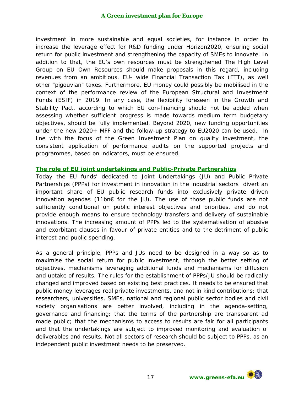investment in more sustainable and equal societies, for instance in order to increase the leverage effect for R&D funding under Horizon2020, ensuring social return for public investment and strengthening the capacity of SMEs to innovate. In addition to that, the EU's own resources must be strengthened The High Level Group on EU Own Resources should make proposals in this regard, including revenues from an ambitious, EU- wide Financial Transaction Tax (FTT), as well other "pigouvian" taxes. Furthermore, EU money could possibly be mobilised in the context of the performance review of the European Structural and Investment Funds (ESIF) in 2019. In any case, the flexibility foreseen in the Growth and Stability Pact, according to which EU con-financing should not be added when assessing whether sufficient progress is made towards medium term budgetary objectives, should be fully implemented. Beyond 2020, new funding opportunities under the new 2020+ MFF and the follow-up strategy to EU2020 can be used. In line with the focus of the Green Investment Plan on *quality* investment, the consistent application of performance audits on the supported projects and programmes, based on indicators, must be ensured.

# *The role of EU joint undertakings and Public-Private Partnerships*

Today the EU funds' dedicated to Joint Undertakings (JU) and Public Private Partnerships (PPPs) for investment in innovation in the industrial sectors divert an important share of EU public research funds into exclusively private driven innovation agendas (11bn€ for the JU). The use of those public funds are not sufficiently conditional on public interest objectives and priorities, and do not provide enough means to ensure technology transfers and delivery of sustainable innovations. The increasing amount of PPPs led to the systematisation of abusive and exorbitant clauses in favour of private entities and to the detriment of public interest and public spending.

As a general principle, PPPs and JUs need to be designed in a way so as to maximise the social return for public investment, through the better setting of objectives, mechanisms leveraging additional funds and mechanisms for diffusion and uptake of results. The rules for the establishment of PPPs/JU should be radically changed and improved based on existing best practices. It needs to be ensured that public money leverages real private investments, and not in kind contributions; that researchers, universities, SMEs, national and regional public sector bodies and civil society organisations are better involved, including in the agenda-setting, governance and financing; that the terms of the partnership are transparent ad made public; that the mechanisms to access to results are fair for all participants and that the undertakings are subject to improved monitoring and evaluation of deliverables and results. Not all sectors of research should be subject to PPPs, as an independent public investment needs to be preserved.

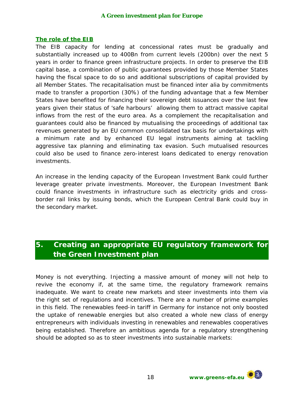#### **A Green investment plan for Europe**

#### *The role of the EIB*

The EIB capacity for lending at concessional rates must be gradually and substantially increased up to 400Bn from current levels (200bn) over the next 5 years in order to finance green infrastructure projects. In order to preserve the EIB capital base, a combination of public guarantees provided by those Member States having the fiscal space to do so and additional subscriptions of capital provided by all Member States. The recapitalisation must be financed inter alia by commitments made to transfer a proportion (30%) of the funding advantage that a few Member States have benefited for financing their sovereign debt issuances over the last few years given their status of 'safe harbours' allowing them to attract massive capital inflows from the rest of the euro area. As a complement the recapitalisation and guarantees could also be financed by mutualising the proceedings of additional tax revenues generated by an EU common consolidated tax basis for undertakings with a minimum rate and by enhanced EU legal instruments aiming at tackling aggressive tax planning and eliminating tax evasion. Such mutualised resources could also be used to finance zero-interest loans dedicated to energy renovation investments.

An increase in the lending capacity of the European Investment Bank could further leverage greater private investments. Moreover, the European Investment Bank could finance investments in infrastructure such as electricity grids and crossborder rail links by issuing bonds, which the European Central Bank could buy in the secondary market.

# *5. Creating an appropriate EU regulatory framework for the Green Investment plan*

Money is not everything. Injecting a massive amount of money will not help to revive the economy if, at the same time, the regulatory framework remains inadequate. We want to create new markets and steer investments into them via the right set of regulations and incentives. There are a number of prime examples in this field. The renewables feed-in tariff in Germany for instance not only boosted the uptake of renewable energies but also created a whole new class of energy entrepreneurs with individuals investing in renewables and renewables cooperatives being established. Therefore an ambitious agenda for a regulatory strengthening should be adopted so as to steer investments into sustainable markets:

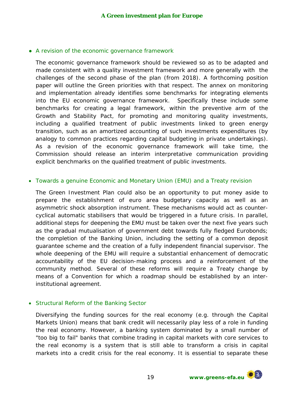#### ● *A revision of the economic governance framework*

The economic governance framework should be reviewed so as to be adapted and made consistent with a quality investment framework and more generally with the challenges of the second phase of the plan (from 2018). A forthcoming position paper will outline the Green priorities with that respect. The annex on monitoring and implementation already identifies some benchmarks for integrating elements into the EU economic governance framework. Specifically these include some benchmarks for creating a legal framework, within the preventive arm of the Growth and Stability Pact, for promoting and monitoring quality investments, including a qualified treatment of public investments linked to green energy transition, such as an amortized accounting of such investments expenditures (by analogy to common practices regarding capital budgeting in private undertakings). As a revision of the economic governance framework will take time, the Commission should release an interim interpretative communication providing explicit benchmarks on the qualified treatment of public investments.

#### • *Towards a genuine Economic and Monetary Union (EMU) and a Treaty revision*

The Green Investment Plan could also be an opportunity to put money aside to prepare the establishment of euro area budgetary capacity as well as an asymmetric shock absorption instrument. These mechanisms would act as countercyclical automatic stabilisers that would be triggered in a future crisis. In parallel, additional steps for deepening the EMU must be taken over the next five years such as the gradual mutualisation of government debt towards fully fledged Eurobonds; the completion of the Banking Union, including the setting of a common deposit guarantee scheme and the creation of a fully independent financial supervisor. The whole deepening of the EMU will require a substantial enhancement of democratic accountability of the EU decision-making process and a reinforcement of the community method. Several of these reforms will require a Treaty change by means of a Convention for which a roadmap should be established by an interinstitutional agreement.

# • *Structural Reform of the Banking Sector*

Diversifying the funding sources for the real economy (e.g. through the Capital Markets Union) means that bank credit will necessarily play less of a role in funding the real economy. However, a banking system dominated by a small number of "too big to fail" banks that combine trading in capital markets with core services to the real economy is a system that is still able to transform a crisis in capital markets into a credit crisis for the real economy. It is essential to separate these



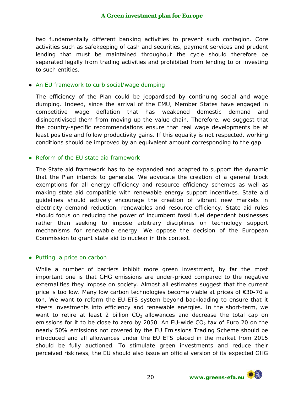two fundamentally different banking activities to prevent such contagion. Core activities such as safekeeping of cash and securities, payment services and prudent lending that must be maintained throughout the cycle should therefore be separated legally from trading activities and prohibited from lending to or investing to such entities.

#### ● *An EU framework to curb social/wage dumping*

The efficiency of the Plan could be jeopardised by continuing social and wage dumping. Indeed, since the arrival of the EMU, Member States have engaged in competitive wage deflation that has weakened domestic demand and disincentivised them from moving up the value chain. Therefore, we suggest that the country-specific recommendations ensure that real wage developments be at least positive and follow productivity gains. If this equality is not respected, working conditions should be improved by an equivalent amount corresponding to the gap.

#### ● *Reform of the EU state aid framework*

The State aid framework has to be expanded and adapted to support the dynamic that the Plan intends to generate. We advocate the creation of a general block exemptions for all energy efficiency and resource efficiency schemes as well as making state aid compatible with renewable energy support incentives. State aid guidelines should actively encourage the creation of vibrant new markets in electricity demand reduction, renewables and resource efficiency. State aid rules should focus on reducing the power of incumbent fossil fuel dependent businesses rather than seeking to impose arbitrary disciplines on technology support mechanisms for renewable energy. We oppose the decision of the European Commission to grant state aid to nuclear in this context.

#### ● *Putting a price on carbon*

While a number of barriers inhibit more green investment, by far the most important one is that GHG emissions are under-priced compared to the negative externalities they impose on society. Almost all estimates suggest that the current price is too low. Many low carbon technologies become viable at prices of €30-70 a ton. We want to reform the EU-ETS system beyond backloading to ensure that it steers investments into efficiency and renewable energies. In the short-term, we want to retire at least 2 billion  $CO<sub>2</sub>$  allowances and decrease the total cap on emissions for it to be close to zero by 2050. An EU-wide  $CO<sub>2</sub>$  tax of Euro 20 on the nearly 50% emissions not covered by the EU Emissions Trading Scheme should be introduced and all allowances under the EU ETS placed in the market from 2015 should be fully auctioned. To stimulate green investments and reduce their perceived riskiness, the EU should also issue an official version of its expected GHG

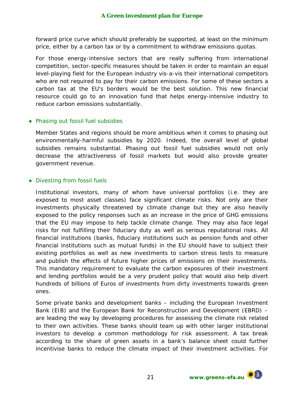forward price curve which should preferably be supported, at least on the minimum price, either by a carbon tax or by a commitment to withdraw emissions quotas.

For those energy-intensive sectors that are really suffering from international competition, sector-specific measures should be taken in order to maintain an equal level-playing field for the European industry vis-a-vis their international competitors who are not required to pay for their carbon emissions. For some of these sectors a carbon tax at the EU's borders would be the best solution. This new financial resource could go to an innovation fund that helps energy-intensive industry to reduce carbon emissions substantially.

# ● *Phasing out fossil fuel subsidies*

Member States and regions should be more ambitious when it comes to phasing out environmentally-harmful subsidies by 2020. Indeed, the overall level of global subsidies remains substantial. Phasing out fossil fuel subsidies would not only decrease the attractiveness of fossil markets but would also provide greater government revenue.

# ● *Divesting from fossil fuels*

Institutional investors, many of whom have universal portfolios (i.e. they are exposed to most asset classes) face significant climate risks. Not only are their investments physically threatened by climate change but they are also heavily exposed to the policy responses such as an increase in the price of GHG emissions that the EU may impose to help tackle climate change. They may also face legal risks for not fulfilling their fiduciary duty as well as serious reputational risks. All financial institutions (banks, fiduciary institutions such as pension funds and other financial institutions such as mutual funds) in the EU should have to subject their existing portfolios as well as new investments to carbon stress tests to measure and publish the effects of future higher prices of emissions on their investments. This mandatory requirement to evaluate the carbon exposures of their investment and lending portfolios would be a very prudent policy that would also help divert hundreds of billions of Euros of investments from dirty investments towards green ones.

Some private banks and development banks – including the European Investment Bank (EIB) and the European Bank for Reconstruction and Development (EBRD) – are leading the way by developing procedures for assessing the climate risk related to their own activities. These banks should team up with other larger institutional investors to develop a common methodology for risk assessment. A tax break according to the share of green assets in a bank's balance sheet could further incentivise banks to reduce the climate impact of their investment activities. For

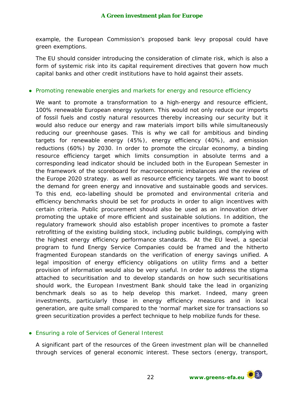example, the European Commission's proposed bank levy proposal could have green exemptions.

The EU should consider introducing the consideration of climate risk, which is also a form of systemic risk into its capital requirement directives that govern how much capital banks and other credit institutions have to hold against their assets.

## ● *Promoting renewable energies and markets for energy and resource efficiency*

We want to promote a transformation to a high-energy and resource efficient, 100% renewable European energy system. This would not only reduce our imports of fossil fuels and costly natural resources thereby increasing our security but it would also reduce our energy and raw materials import bills while simultaneously reducing our greenhouse gases. This is why we call for ambitious and binding targets for renewable energy (45%), energy efficiency (40%), and emission reductions (60%) by 2030. In order to promote the circular economy, a binding resource efficiency target which limits consumption in absolute terms and a corresponding lead indicator should be included both in the European Semester in the framework of the scoreboard for macroeconomic imbalances and the review of the Europe 2020 strategy. as well as resource efficiency targets. We want to boost the demand for green energy and innovative and sustainable goods and services. To this end, eco-labelling should be promoted and environmental criteria and efficiency benchmarks should be set for products in order to align incentives with certain criteria. Public procurement should also be used as an innovation driver promoting the uptake of more efficient and sustainable solutions. In addition, the regulatory framework should also establish proper incentives to promote a faster retrofitting of the existing building stock, including public buildings, complying with the highest energy efficiency performance standards. At the EU level, a special program to fund Energy Service Companies could be framed and the hitherto fragmented European standards on the verification of energy savings unified. A legal imposition of energy efficiency obligations on utility firms and a better provision of information would also be very useful. In order to address the stigma attached to securitisation and to develop standards on how such securitisations should work, the European Investment Bank should take the lead in organizing benchmark deals so as to help develop this market. Indeed, many green investments, particularly those in energy efficiency measures and in local generation, are quite small compared to the 'normal' market size for transactions so green securitization provides a perfect technique to help mobilize funds for these.

# ● *Ensuring a role of Services of General Interest*

A significant part of the resources of the Green investment plan will be channelled through services of general economic interest. These sectors (energy, transport,

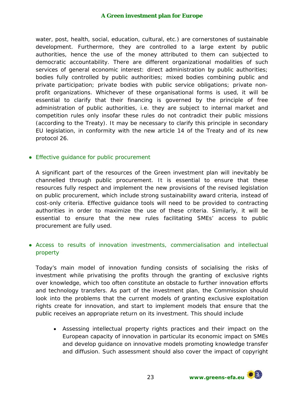#### **A Green investment plan for Europe**

water, post, health, social, education, cultural, etc.) are cornerstones of sustainable development. Furthermore, they are controlled to a large extent by public authorities, hence the use of the money attributed to them can subjected to democratic accountability. There are different organizational modalities of such services of general economic interest: direct administration by public authorities; bodies fully controlled by public authorities; mixed bodies combining public and private participation; private bodies with public service obligations; private nonprofit organizations. Whichever of these organisational forms is used, it will be essential to clarify that their financing is governed by the principle of free administration of public authorities, i.e. they are subject to internal market and competition rules only insofar these rules do not contradict their public missions (according to the Treaty). It may be necessary to clarify this principle in secondary EU legislation, in conformity with the new article 14 of the Treaty and of its new protocol 26.

# ● *Effective guidance for public procurement*

A significant part of the resources of the Green investment plan will inevitably be channelled through public procurement. It is essential to ensure that these resources fully respect and implement the new provisions of the revised legislation on public procurement, which include strong sustainability award criteria, instead of cost-only criteria. Effective guidance tools will need to be provided to contracting authorities in order to maximize the use of these criteria. Similarly, it will be essential to ensure that the new rules facilitating SMEs' access to public procurement are fully used.

# ● *Access to results of innovation investments, commercialisation and intellectual property*

Today's main model of innovation funding consists of socialising the risks of investment while privatising the profits through the granting of exclusive rights over knowledge, which too often constitute an obstacle to further innovation efforts and technology transfers. As part of the investment plan, the Commission should look into the problems that the current models of granting exclusive exploitation rights create for innovation, and start to implement models that ensure that the public receives an appropriate return on its investment. This should include

• Assessing intellectual property rights practices and their impact on the European capacity of innovation in particular its economic impact on SMEs and develop guidance on innovative models promoting knowledge transfer and diffusion. Such assessment should also cover the impact of copyright

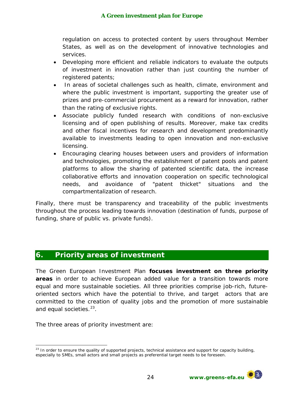## **A Green investment plan for Europe**

regulation on access to protected content by users throughout Member States, as well as on the development of innovative technologies and services.

- Developing more efficient and reliable indicators to evaluate the outputs of investment in innovation rather than just counting the number of registered patents;
- In areas of societal challenges such as health, climate, environment and where the public investment is important, supporting the greater use of prizes and pre-commercial procurement as a reward for innovation, rather than the rating of exclusive rights.
- Associate publicly funded research with conditions of non-exclusive licensing and of open publishing of results. Moreover, make tax credits and other fiscal incentives for research and development predominantly available to investments leading to open innovation and non-exclusive licensing.
- Encouraging clearing houses between users and providers of information and technologies, promoting the establishment of patent pools and patent platforms to allow the sharing of patented scientific data, the increase collaborative efforts and innovation cooperation on specific technological needs, and avoidance of "patent thicket" situations and the compartmentalization of research.

Finally, there must be transparency and traceability of the public investments throughout the process leading towards innovation (destination of funds, purpose of funding, share of public vs. private funds).

# *6. Priority areas of investment*

The Green European Investment Plan **focuses investment on three priority areas** in order to achieve European added value for a transition towards more equal and more sustainable societies. All three priorities comprise job-rich, futureoriented sectors which have the potential to thrive, and target actors that are committed to the creation of quality jobs and the promotion of more sustainable and equal societies.<sup>23</sup>.

The three areas of priority investment are:

<span id="page-23-0"></span> $\overline{a}$  $^{23}$  In order to ensure the quality of supported projects, technical assistance and support for capacity building, especially to SMEs, small actors and small projects as preferential target needs to be foreseen.

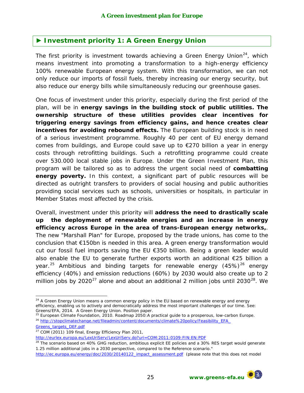# **► Investment priority 1: A Green Energy Union**

The first priority is investment towards achieving a Green Energy Union<sup>[24](#page-24-0)</sup>, which means investment into promoting a transformation to a high-energy efficiency 100% renewable European energy system. With this transformation, we can not only reduce our imports of fossil fuels, thereby increasing our energy security, but also reduce our energy bills while simultaneously reducing our greenhouse gases.

One focus of investment under this priority, especially during the first period of the plan, will be in **energy savings in the building stock of public utilities. The ownership structure of these utilities provides clear incentives for triggering energy savings from efficiency gains, and hence creates clear incentives for avoiding rebound effects.** The European building stock is in need of a serious investment programme. Roughly 40 per cent of EU energy demand comes from buildings, and Europe could save up to €270 billion a year in energy costs through retrofitting buildings. Such a retrofitting programme could create over 530.000 local stable jobs in Europe. Under the Green Investment Plan, this program will be tailored so as to address the urgent social need of **combatting energy poverty.** In this context, a significant part of public resources will be directed as outright transfers to providers of social housing and public authorities providing social services such as schools, universities or hospitals, in particular in Member States most affected by the crisis.

Overall, investment under this priority will **address the need to drastically scale up the deployment of renewable energies and an increase in energy efficiency across Europe in the area of trans-European energy networks,**. The new "Marshall Plan" for Europe, proposed by the trade unions, has come to the conclusion that €150bn is needed in this area. A green energy transformation would cut our fossil fuel imports saving the EU €350 billion. Being a green leader would also enable the EU to generate further exports worth an additional €25 billion a year.<sup>[25](#page-24-1)</sup> Ambitious and binding targets for renewable energy  $(45%)^{26}$  $(45%)^{26}$  $(45%)^{26}$  energy efficiency (40%) and emission reductions (60%) by 2030 would also create up to 2 million jobs by 2020<sup>[27](#page-24-3)</sup> alone and about an additional 2 million jobs until 2030<sup>[28](#page-24-4)</sup>. We

<http://eurlex.europa.eu/LexUriServ/LexUriServ.do?uri=COM:2011:0109:FIN:EN:PDF>

[http://ec.europa.eu/energy/doc/2030/20140122\\_impact\\_assessment.pdf](http://ec.europa.eu/energy/doc/2030/20140122_impact_assessment.pdf) (please note that this does not model



<span id="page-24-0"></span> $\ddot{\phantom{a}}$  $24$  A Green Energy Union means a common energy policy in the EU based on renewable energy and energy efficiency, enabling us to actively and democratically address the most important challenges of our time. See: Greens/EFA, 2014. A Green Energy Union. Position paper.

<span id="page-24-2"></span><span id="page-24-1"></span><sup>&</sup>lt;sup>25</sup> European Climate Foundation, 2010. Roadmap 2050: A practical guide to a prosperous, low-carbon Europe. <sup>26</sup> [http://stopclimatechange.net/fileadmin/content/documents/climate%20policy/Feasibility\\_EFA\\_](http://stopclimatechange.net/fileadmin/content/documents/climate%20policy/Feasibility_EFA_Greens_targets_DEF.pdf) [Greens\\_targets\\_DEF.pdf](http://stopclimatechange.net/fileadmin/content/documents/climate%20policy/Feasibility_EFA_Greens_targets_DEF.pdf)

<span id="page-24-3"></span> $27$  COM (2011) 109 final, Energy Efficiency Plan 2011,

<span id="page-24-4"></span><sup>&</sup>lt;sup>28</sup> The scenario based on 40% GHG reduction, ambitious explicit EE policies and a 30% RES target would generate 1.25 million additional jobs in a 2030 perspective, compared to the Reference scenario."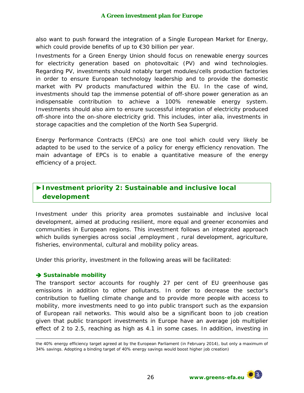also want to push forward the integration of a Single European Market for Energy, which could provide benefits of up to €30 billion per year.

Investments for a Green Energy Union should focus on renewable energy sources for electricity generation based on photovoltaic (PV) and wind technologies. Regarding PV, investments should notably target modules/cells production factories in order to ensure European technology leadership and to provide the domestic market with PV products manufactured within the EU. In the case of wind, investments should tap the immense potential of off-shore power generation as an indispensable contribution to achieve a 100% renewable energy system. Investments should also aim to ensure successful integration of electricity produced off-shore into the on-shore electricity grid. This includes, inter alia, investments in storage capacities and the completion of the North Sea Supergrid.

Energy Performance Contracts (EPCs) are one tool which could very likely be adapted to be used to the service of a policy for energy efficiency renovation. The main advantage of EPCs is to enable a quantitative measure of the energy efficiency of a project.

# **►Investment priority 2: Sustainable and inclusive local development**

Investment under this priority area promotes sustainable and inclusive local development, aimed at producing resilient, more equal and greener economies and communities in European regions. This investment follows an integrated approach which builds synergies across social , employment, rural development, agriculture, fisheries, environmental, cultural and mobility policy areas.

Under this priority, investment in the following areas will be facilitated:

# **→ Sustainable mobility**

The transport sector accounts for roughly 27 per cent of EU greenhouse gas emissions in addition to other pollutants. In order to decrease the sector's contribution to fuelling climate change and to provide more people with access to mobility, more investments need to go into public transport such as the expansion of European rail networks. This would also be a significant boon to job creation given that public transport investments in Europe have an average job multiplier effect of 2 to 2.5, reaching as high as 4.1 in some cases. In addition, investing in

 $\ddot{\phantom{a}}$ the 40% energy efficiency target agreed at by the European Parliament (in February 2014), but only a maximum of 34% savings. Adopting a binding target of 40% energy savings would boost higher job creation)

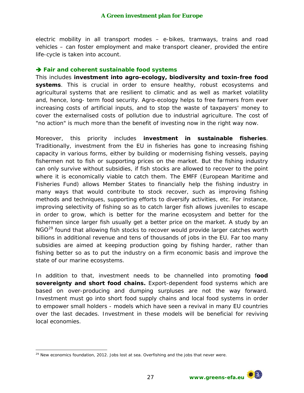electric mobility in all transport modes – e-bikes, tramways, trains and road vehicles – can foster employment and make transport cleaner, provided the entire life-cycle is taken into account.

#### **Fair and coherent sustainable food systems**

This includes **investment into agro-ecology, biodiversity and toxin-free food systems**. This is crucial in order to ensure healthy, robust ecosystems and agricultural systems that are resilient to climatic and as well as market volatility and, hence, long- term food security. Agro-ecology helps to free farmers from ever increasing costs of artificial inputs, and to stop the waste of taxpayers' money to cover the externalised costs of pollution due to industrial agriculture. The cost of "no action" is much more than the benefit of investing now in the right way now.

Moreover, this priority includes **investment in sustainable fisheries**. Traditionally, investment from the EU in fisheries has gone to increasing fishing capacity in various forms, either by building or modernising fishing vessels, paying fishermen not to fish or supporting prices on the market. But the fishing industry can only survive without subsidies, if fish stocks are allowed to recover to the point where it is economically viable to catch them. The EMFF (European Maritime and Fisheries Fund) allows Member States to financially help the fishing industry in many ways that would contribute to stock recover, such as improving fishing methods and techniques, supporting efforts to diversify activities, etc. For instance, improving selectivity of fishing so as to catch larger fish allows juveniles to escape in order to grow, which is better for the marine ecosystem and better for the fishermen since larger fish usually get a better price on the market. A study by an NGO<sup>[29](#page-26-0)</sup> found that allowing fish stocks to recover would provide larger catches worth billions in additional revenue and tens of thousands of jobs in the EU. Far too many subsidies are aimed at keeping production going by fishing harder, rather than fishing better so as to put the industry on a firm economic basis and improve the state of our marine ecosystems.

In addition to that, investment needs to be channelled into promoting f**ood sovereignty and short food chains.** Export-dependent food systems which are based on over-producing and dumping surpluses are not the way forward. Investment must go into short food supply chains and local food systems in order to empower small holders - models which have seen a revival in many EU countries over the last decades. Investment in these models will be beneficial for reviving local economies.

<span id="page-26-0"></span> $\overline{a}$ <sup>29</sup> New economics foundation, 2012. Jobs lost at sea. Overfishing and the jobs that never were.

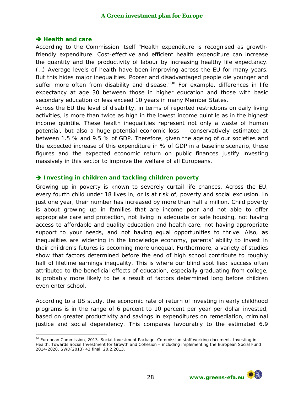#### **→ Health and care**

 $\ddot{\phantom{a}}$ 

According to the Commission itself "Health expenditure is recognised as growthfriendly expenditure. Cost-effective and efficient health expenditure can increase the quantity and the productivity of labour by increasing healthy life expectancy. (…) Average levels of health have been improving across the EU for many years. But this hides major inequalities. Poorer and disadvantaged people die younger and suffer more often from disability and disease." $30$  For example, differences in life expectancy at age 30 between those in higher education and those with basic secondary education or less exceed 10 years in many Member States.

Across the EU the level of disability, in terms of reported restrictions on daily living activities, is more than twice as high in the lowest income quintile as in the highest income quintile. These health inequalities represent not only a waste of human potential, but also a huge potential economic loss — conservatively estimated at between 1.5 % and 9.5 % of GDP. Therefore, given the ageing of our societies and the expected increase of this expenditure in % of GDP in a baseline scenario, these figures and the expected economic return on public finances justify investing massively in this sector to improve the welfare of all Europeans.

#### **→ Investing in children and tackling children poverty**

Growing up in poverty is known to severely curtail life chances. Across the EU, every fourth child under 18 lives in, or is at risk of, poverty and social exclusion. In just one year, their number has increased by more than half a million. Child poverty is about growing up in families that are income poor and not able to offer appropriate care and protection, not living in adequate or safe housing, not having access to affordable and quality education and health care, not having appropriate support to your needs, and not having equal opportunities to thrive. Also, as inequalities are widening in the knowledge economy, parents' ability to invest in their children's futures is becoming more unequal. Furthermore, a variety of studies show that factors determined before the end of high school contribute to roughly half of lifetime earnings inequality. This is where our blind spot lies: success often attributed to the beneficial effects of education, especially graduating from college, is probably more likely to be a result of factors determined long before children even enter school.

According to a US study, the economic rate of return of investing in early childhood programs is in the range of 6 percent to 10 percent per year per dollar invested, based on greater productivity and savings in expenditures on remediation, criminal justice and social dependency. This compares favourably to the estimated 6.9

<span id="page-27-0"></span><sup>&</sup>lt;sup>30</sup> European Commission, 2013. Social Investment Package. Commission staff working document. Investing in Health. Towards Social Investment for Growth and Cohesion – including implementing the European Social Fund 2014-2020, SWD(2013) 43 final, 20.2.2013.

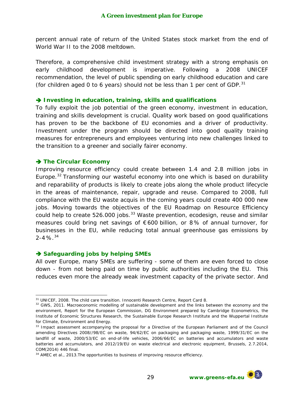percent annual rate of return of the United States stock market from the end of World War II to the 2008 meltdown.

Therefore, a comprehensive child investment strategy with a strong emphasis on early childhood development is imperative. Following a 2008 UNICEF recommendation, the level of public spending on early childhood education and care (for children aged 0 to 6 years) should not be less than 1 per cent of GDP.  $31$ 

#### **→ Investing in education, training, skills and qualifications**

To fully exploit the job potential of the green economy, investment in education, training and skills development is crucial. Quality work based on good qualifications has proven to be the backbone of EU economies and a driver of productivity. Investment under the program should be directed into good quality training measures for entrepreneurs and employees venturing into new challenges linked to the transition to a greener and socially fairer economy.

#### **The Circular Economy**

Improving resource efficiency could create between 1.4 and 2.8 million jobs in Europe.<sup>[32](#page-28-1)</sup> Transforming our wasteful economy into one which is based on durability and reparability of products is likely to create jobs along the whole product lifecycle in the areas of maintenance, repair, upgrade and reuse. Compared to 2008, full compliance with the EU waste *acquis* in the coming years could create 400 000 new jobs. Moving towards the objectives of the EU Roadmap on Resource Efficiency could help to create 526.000 jobs. $33$  Waste prevention, ecodesign, reuse and similar measures could bring net savings of  $\epsilon$  600 billion, or 8% of annual turnover, for businesses in the EU, while reducing total annual greenhouse gas emissions by  $2 - 4 \%$ .  $34$ 

#### **Safeguarding jobs by helping SMEs**

All over Europe, many SMEs are suffering - some of them are even forced to close down - from not being paid on time by public authorities including the EU. This reduces even more the already weak investment capacity of the private sector. And

<span id="page-28-3"></span><sup>&</sup>lt;sup>34</sup> AMEC et al., 2013. The opportunities to business of improving resource efficiency.



<sup>-</sup><sup>31</sup> UNICEF, 2008. The child care transition. Innocenti Research Centre, Report Card 8.

<span id="page-28-1"></span><span id="page-28-0"></span><sup>&</sup>lt;sup>32</sup> GWS, 2011. Macroeconomic modelling of sustainable development and the links between the economy and the environment, Report for the European Commission, DG Environment prepared by Cambridge Econometrics, the Institute of Economic Structures Research, the Sustainable Europe Research Institute and the Wuppertal Institute for Climate, Environment and Energy.

<span id="page-28-2"></span><sup>&</sup>lt;sup>33</sup> Impact assessment accompanying the proposal for a Directive of the European Parliament and of the Council amending Directives 2008//98/EC on waste, 94/62/EC on packaging and packaging waste, 1999/31/EC on the landfill of waste, 2000/53/EC on end-of-life vehicles, 2006/66/EC on batteries and accumulators and waste batteries and accumulators, and 2012/19/EU on waste electrical and electronic equipment, Brussels, 2.7.2014, COM(2014) 446 final.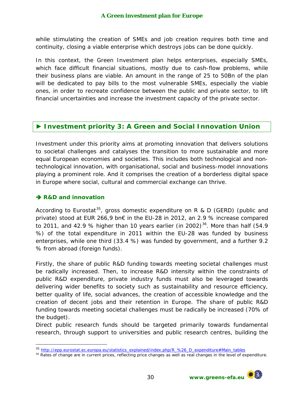while stimulating the creation of SMEs and job creation requires both time and continuity, closing a viable enterprise which destroys jobs can be done quickly.

In this context, the Green Investment plan helps enterprises, especially SMEs, which face difficult financial situations, mostly due to cash-flow problems, while their business plans are viable. An amount in the range of 25 to 50Bn of the plan will be dedicated to pay bills to the most vulnerable SMEs, especially the viable ones, in order to recreate confidence between the public and private sector, to lift financial uncertainties and increase the investment capacity of the private sector.

# **► Investment priority 3: A Green and Social Innovation Union**

Investment under this priority aims at promoting innovation that delivers solutions to societal challenges and catalyses the transition to more sustainable and more equal European economies and societies. This includes both technological and nontechnological innovation, with organisational, social and business-model innovations playing a prominent role. And it comprises the creation of a borderless digital space in Europe where social, cultural and commercial exchange can thrive.

# **→ R&D and innovation**

 $\ddot{\phantom{a}}$ 

According to Eurostat<sup>[35](#page-29-0)</sup>[,](http://epp.eurostat.ec.europa.eu/statistics_explained/index.php/Glossary:Gross_domestic_expenditure_on_R_%26_D_(GERD)) [gross domestic expenditure on R & D \(GERD\)](http://epp.eurostat.ec.europa.eu/statistics_explained/index.php/Glossary:Gross_domestic_expenditure_on_R_%26_D_(GERD)) (public and private) stood at EUR 266,9 bn€ in th[e](http://epp.eurostat.ec.europa.eu/statistics_explained/index.php/Glossary:EU-28) [EU-28](http://epp.eurostat.ec.europa.eu/statistics_explained/index.php/Glossary:EU-28) in 2012, an 2.9 % increase compared to 2011, and 42.9 % higher than 10 years earlier (in 2002)<sup>[36](#page-29-1)</sup>. More than half (54.9) %) of the total expenditure in 2011 within the EU-28 was funded by business enterprises, while one third (33.4 %) was funded by government, and a further 9.2 % from abroad (foreign funds).

Firstly, the share of public R&D funding towards meeting societal challenges must be radically increased. Then, to increase R&D intensity within the constraints of public R&D expenditure, private industry funds must also be leveraged towards delivering wider benefits to society such as sustainability and resource efficiency, better quality of life, social advances, the creation of accessible knowledge and the creation of decent jobs and their retention in Europe. The share of public R&D funding towards meeting societal challenges must be radically be increased (70% of the budget).

Direct public research funds should be targeted primarily towards fundamental research, through support to universities and public research centres, building the

<span id="page-29-1"></span><sup>&</sup>lt;sup>36</sup> Rates of change are in current prices, reflecting price changes as well as real changes in the level of expenditure.



<span id="page-29-0"></span><sup>35</sup> [http://epp.eurostat.ec.europa.eu/statistics\\_explained/index.php/R\\_%26\\_D\\_expenditure#Main\\_tables](http://epp.eurostat.ec.europa.eu/statistics_explained/index.php/R_%26_D_expenditure#Main_tables)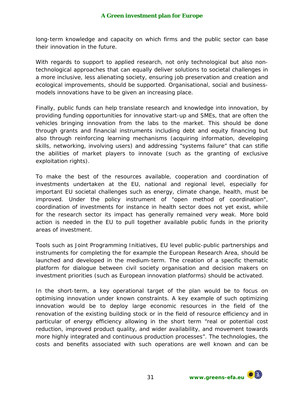long-term knowledge and capacity on which firms and the public sector can base their innovation in the future.

With regards to support to applied research, not only technological but also nontechnological approaches that can equally deliver solutions to societal challenges in a more inclusive, less alienating society, ensuring job preservation and creation and ecological improvements, should be supported. Organisational, social and businessmodels innovations have to be given an increasing place.

Finally, public funds can help translate research and knowledge into innovation, by providing funding opportunities for innovative start-up and SMEs, that are often the vehicles bringing innovation from the labs to the market. This should be done through grants and financial instruments including debt and equity financing but also through reinforcing learning mechanisms (acquiring information, developing skills, networking, involving users) and addressing "systems failure" that can stifle the abilities of market players to innovate (such as the granting of exclusive exploitation rights).

To make the best of the resources available, cooperation and coordination of investments undertaken at the EU, national and regional level, especially for important EU societal challenges such as energy, climate change, health, must be improved. Under the policy instrument of "open method of coordination", coordination of investments for instance in health sector does not yet exist, while for the research sector its impact has generally remained very weak. More bold action is needed in the EU to pull together available public funds in the priority areas of investment.

Tools such as Joint Programming Initiatives, EU level public-public partnerships and instruments for completing the for example the European Research Area, should be launched and developed in the medium-term. The creation of a specific thematic platform for dialogue between civil society organisation and decision makers on investment priorities (such as European innovation platforms) should be activated.

In the short-term, a key operational target of the plan would be to focus on optimising innovation under known constraints. A key example of such optimizing innovation would be to deploy large economic resources in the field of the renovation of the existing building stock or in the field of resource efficiency and in particular of energy efficiency allowing in the short term "real or potential cost reduction, improved product quality, and wider availability, and movement towards more highly integrated and continuous production processes". The technologies, the costs and benefits associated with such operations are well known and can be

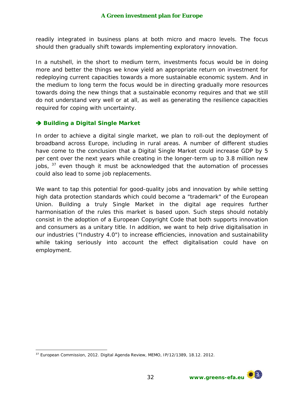readily integrated in business plans at both micro and macro levels. The focus should then gradually shift towards implementing exploratory innovation.

In a nutshell, in the short to medium term, investments focus would be in doing more and better the things we know yield an appropriate return on investment for redeploying current capacities towards a more sustainable economic system. And in the medium to long term the focus would be in directing gradually more resources towards doing the new things that a sustainable economy requires and that we still do not understand very well or at all, as well as generating the resilience capacities required for coping with uncertainty.

# **→ Building a Digital Single Market**

In order to achieve a digital single market, we plan to roll-out the deployment of broadband across Europe, including in rural areas. A number of different studies have come to the conclusion that a Digital Single Market could increase GDP by 5 per cent over the next years while creating in the longer-term up to 3.8 million new  $i$ obs,  $37$  even though it must be acknowledged that the automation of processes could also lead to some job replacements.

We want to tap this potential for good-quality jobs and innovation by while setting high data protection standards which could become a "trademark" of the European Union. Building a truly Single Market in the digital age requires further harmonisation of the rules this market is based upon. Such steps should notably consist in the adoption of a European Copyright Code that both supports innovation and consumers as a unitary title. In addition, we want to help drive digitalisation in our industries ("Industry 4.0") to increase efficiencies, innovation and sustainability while taking seriously into account the effect digitalisation could have on employment.

<span id="page-31-0"></span> $\overline{a}$  $37$  European Commission, 2012. Digital Agenda Review, MEMO, IP/12/1389, 18.12. 2012.

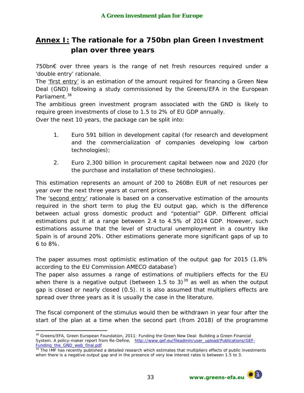# *Annex I: The rationale for a 750bn plan Green Investment plan over three years*

750bn€ over three years is the range of net fresh resources required under a 'double entry' rationale.

The 'first entry' is an estimation of the amount required for financing a Green New Deal (GND) following a study commissioned by the Greens/EFA in the European Parliament.<sup>[38](#page-32-0)</sup>

The ambitious green investment program associated with the GND is likely to require green investments of close to 1.5 to 2% of EU GDP annually.

Over the next 10 years, the package can be split into:

- 1. Euro 591 billion in development capital (for research and development and the commercialization of companies developing low carbon technologies);
- 2. Euro 2,300 billion in procurement capital between now and 2020 (for the purchase and installation of these technologies).

This estimation represents an amount of 200 to 260Bn EUR of net resources per year over the next three years at current prices.

The 'second entry' rationale is based on a conservative estimation of the amounts required in the short term to plug the EU output gap, which is the difference between actual gross domestic product and "potential" GDP. Different official estimations put it at a range between 2.4 to 4.5% of 2014 GDP. However, such estimations assume that the level of structural unemployment in a country like Spain is of around 20%. Other estimations generate more significant gaps of up to 6 to 8%.

The paper assumes most optimistic estimation of the output gap for 2015 (1.8% accord[i](#page-39-0)ng to the EU Commission AMECO database<sup>i</sup>)

The paper also assumes a range of estimations of multipliers effects for the EU when there is a negative output (between 1.5 to 3)<sup>[39](#page-32-1)</sup> as well as when the output gap is closed or nearly closed (0.5). It is also assumed that multipliers effects are spread over three years as it is usually the case in the literature.

The fiscal component of the stimulus would then be withdrawn in year four after the start of the plan at a time when the second part (from 2018) of the programme

<span id="page-32-1"></span> $39$  The IMF has recently published a detailed research which estimates that multipliers effects of public investments when there is a negative output gap and in the presence of very low interest rates is between 1.5 to 3.



<span id="page-32-0"></span> $\overline{a}$ <sup>38</sup> Greens/EFA, Green European Foundation, 2011: Funding the Green New Deal: Building a Green Financial System. A policy-maker report from Re-Define, [http://www.gef.eu/fileadmin/user\\_upload/Publications/GEF-](http://www.gef.eu/fileadmin/user_upload/Publications/GEF-Funding_the_GND_web_final.pdf)[Funding\\_the\\_GND\\_web\\_final.pdf](http://www.gef.eu/fileadmin/user_upload/Publications/GEF-Funding_the_GND_web_final.pdf)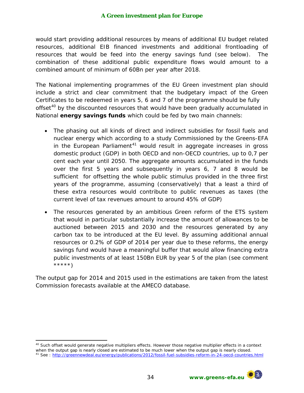would start providing additional resources by means of additional EU budget related resources, additional EIB financed investments and additional frontloading of resources that would be feed into the energy savings fund (see below). The combination of these additional public expenditure flows would amount to a combined amount of minimum of 60Bn per year after 2018.

The National implementing programmes of the EU Green investment plan should include a strict and clear commitment that the budgetary impact of the Green Certificates to be redeemed in years 5, 6 and 7 of the programme should be fully offset<sup>[40](#page-33-0)</sup> by the discounted resources that would have been gradually accumulated in National **energy savings funds** which could be fed by two main channels:

- The phasing out all kinds of direct and indirect subsidies for fossil fuels and nuclear energy which according to a study Commissioned by the Greens-EFA in the European Parliament<sup>[41](#page-33-1)</sup> would result in aggregate increases in gross domestic product (GDP) in both OECD and non-OECD countries, up to 0,7 per cent each year until 2050. The aggregate amounts accumulated in the funds over the first 5 years and subsequently in years 6, 7 and 8 would be sufficient for offsetting the whole public stimulus provided in the three first years of the programme, assuming (conservatively) that a least a third of these extra resources would contribute to public revenues as taxes (the current level of tax revenues amount to around 45% of GDP)
- The resources generated by an ambitious Green reform of the ETS system that would in particular substantially increase the amount of allowances to be auctioned between 2015 and 2030 and the resources generated by any carbon tax to be introduced at the EU level. By assuming additional annual resources or 0.2% of GDP of 2014 per year due to these reforms, the energy savings fund would have a meaningful buffer that would allow financing extra public investments of at least 150Bn EUR by year 5 of the plan (see comment \*\*\*\*\*)

The output gap for 2014 and 2015 used in the estimations are taken from the latest Commission forecasts available at the AMECO database.

 $\ddot{\phantom{a}}$ 



<span id="page-33-1"></span><span id="page-33-0"></span><sup>&</sup>lt;sup>40</sup> Such offset would generate negative multipliers effects. However those negative multiplier effects in a context when the output gap is nearly closed are estimated to be much lower when the output gap is nearly closed. <sup>41</sup> See :<http://greennewdeal.eu/energy/publications/2012/fossil-fuel-subsidies-reform-in-24-oecd-countries.html>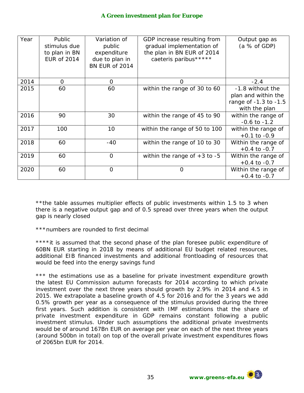| Year | Public<br>stimulus due<br>to plan in BN<br><b>EUR of 2014</b> | Variation of<br>public<br>expenditure<br>due to plan in<br>BN EUR of 2014 | GDP increase resulting from<br>gradual implementation of<br>the plan in BN EUR of 2014<br>caeteris paribus ***** | Output gap as<br>(a % of GDP)                                                     |
|------|---------------------------------------------------------------|---------------------------------------------------------------------------|------------------------------------------------------------------------------------------------------------------|-----------------------------------------------------------------------------------|
| 2014 | 0                                                             | $\Omega$                                                                  | $\Omega$                                                                                                         | $-2.4$                                                                            |
| 2015 | 60                                                            | 60                                                                        | within the range of 30 to 60                                                                                     | -1.8 without the<br>plan and within the<br>range of -1.3 to -1.5<br>with the plan |
| 2016 | 90                                                            | 30                                                                        | within the range of 45 to 90                                                                                     | within the range of<br>$-0.6$ to $-1.2$                                           |
| 2017 | 100                                                           | 10                                                                        | within the range of 50 to 100                                                                                    | within the range of<br>$+0.1$ to $-0.9$                                           |
| 2018 | 60                                                            | $-40$                                                                     | within the range of 10 to 30                                                                                     | Within the range of<br>$+0.4$ to $-0.7$                                           |
| 2019 | 60                                                            | $\Omega$                                                                  | within the range of $+3$ to $-5$                                                                                 | Within the range of<br>$+0.4$ to $-0.7$                                           |
| 2020 | 60                                                            | $\Omega$                                                                  | O                                                                                                                | Within the range of<br>$+0.4$ to $-0.7$                                           |

\*\*the table assumes multiplier effects of public investments within 1.5 to 3 when there is a negative output gap and of 0.5 spread over three years when the output gap is nearly closed

\*\*\*numbers are rounded to first decimal

\*\*\*\*it is assumed that the second phase of the plan foresee public expenditure of 60BN EUR starting in 2018 by means of additional EU budget related resources, additional EIB financed investments and additional frontloading of resources that would be feed into the energy savings fund

\*\*\* the estimations use as a baseline for private investment expenditure growth the latest EU Commission autumn forecasts for 2014 according to which private investment over the next three years should growth by 2.9% in 2014 and 4.5 in 2015. We extrapolate a baseline growth of 4.5 for 2016 and for the 3 years we add 0.5% growth per year as a consequence of the stimulus provided during the three first years. Such addition is consistent with IMF estimations that the share of private investment expenditure in GDP remains constant following a public investment stimulus. Under such assumptions the additional private investments would be of around 167Bn EUR on average per year on each of the next three years (around 500bn in total) on top of the overall private investment expenditures flows of 2065bn EUR for 2014.

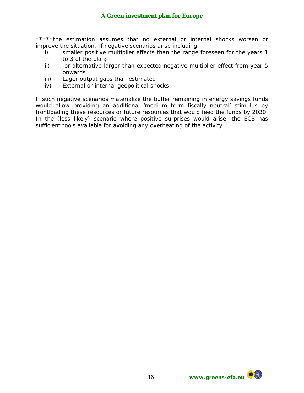\*\*\*\*\*the estimation assumes that no external or internal shocks worsen or improve the situation. If negative scenarios arise including:

- i) smaller positive multiplier effects than the range foreseen for the years 1 to 3 of the plan;
- ii) or alternative larger than expected negative multiplier effect from year 5 onwards
- iii) Lager output gaps than estimated
- iv) External or internal geopolitical shocks

If such negative scenarios materialize the buffer remaining in energy savings funds would allow providing an additional 'medium term fiscally neutral' stimulus by frontloading these resources or future resources that would feed the funds by 2030. In the (less likely) scenario where positive surprises would arise, the ECB has sufficient tools available for avoiding any overheating of the activity.

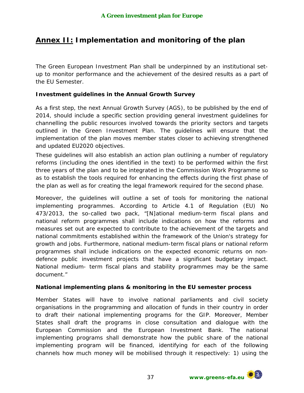# *Annex II: Implementation and monitoring of the plan*

The Green European Investment Plan shall be underpinned by an institutional setup to monitor performance and the achievement of the desired results as a part of the EU Semester.

# *Investment guidelines in the Annual Growth Survey*

As a first step, the next Annual Growth Survey (AGS), to be published by the end of 2014, should include a specific section providing general investment guidelines for channelling the public resources involved towards the priority sectors and targets outlined in the Green Investment Plan. The guidelines will ensure that the implementation of the plan moves member states closer to achieving strengthened and updated EU2020 objectives.

These guidelines will also establish an action plan outlining a number of regulatory reforms (including the ones identified in the text) to be performed within the first three years of the plan and to be integrated in the Commission Work Programme so as to establish the tools required for enhancing the effects during the first phase of the plan as well as for creating the legal framework required for the second phase.

Moreover, the guidelines will outline a set of tools for monitoring the national implementing programmes. According to Article 4.1 of Regulation (EU) No 473/2013, the so-called two pack, "[N]ational medium-term fiscal plans and national reform programmes shall include indications on how the reforms and measures set out are expected to contribute to the achievement of the targets and national commitments established within the framework of the Union's strategy for growth and jobs. Furthermore, national medium-term fiscal plans or national reform programmes shall include indications on the expected economic returns on nondefence public investment projects that have a significant budgetary impact. National medium- term fiscal plans and stability programmes may be the same document."

# *National implementing plans & monitoring in the EU semester process*

Member States will have to involve national parliaments and civil society organisations in the programming and allocation of funds in their country in order to draft their national implementing programs for the GIP. Moreover, Member States shall draft the programs in close consultation and dialogue with the European Commission and the European Investment Bank. The national implementing programs shall demonstrate how the public share of the national implementing program will be financed, identifying for each of the following channels how much money will be mobilised through it respectively: 1) using the

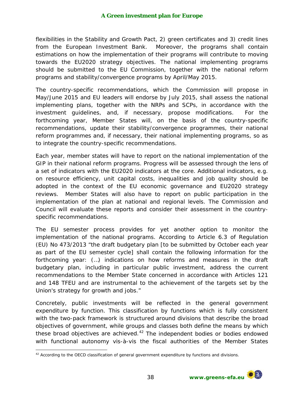flexibilities in the Stability and Growth Pact, 2) green certificates and 3) credit lines from the European Investment Bank. Moreover, the programs shall contain estimations on how the implementation of their programs will contribute to moving towards the EU2020 strategy objectives. The national implementing programs should be submitted to the EU Commission, together with the national reform programs and stability/convergence programs by April/May 2015.

The country-specific recommendations, which the Commission will propose in May/June 2015 and EU leaders will endorse by July 2015, shall assess the national implementing plans, together with the NRPs and SCPs, in accordance with the investment guidelines, and, if necessary, propose modifications. For the forthcoming year, Member States will, on the basis of the country-specific recommendations, update their stability/convergence programmes, their national reform programmes and, if necessary, their national implementing programs, so as to integrate the country-specific recommendations.

Each year, member states will have to report on the national implementation of the GIP in their national reform programs. Progress will be assessed through the lens of a set of indicators with the EU2020 indicators at the core. Additional indicators, e.g. on resource efficiency, unit capital costs, inequalities and job quality should be adopted in the context of the EU economic governance and EU2020 strategy reviews. Member States will also have to report on public participation in the implementation of the plan at national and regional levels. The Commission and Council will evaluate these reports and consider their assessment in the countryspecific recommendations.

The EU semester process provides for yet another option to monitor the implementation of the national programs. According to Article 6.3 of Regulation (EU) No 473/2013 "the draft budgetary plan [to be submitted by October each year as part of the EU semester cycle] shall contain the following information for the forthcoming year: (…) indications on how reforms and measures in the draft budgetary plan, including in particular public investment, address the current recommendations to the Member State concerned in accordance with Articles 121 and 148 TFEU and are instrumental to the achievement of the targets set by the Union's strategy for growth and jobs."

Concretely, public investments will be reflected in the general government expenditure by function. This classification by functions which is fully consistent with the two-pack framework is structured around divisions that describe the broad objectives of government, while groups and classes both define the means by which these broad objectives are achieved.<sup>[42](#page-37-0)</sup> The independent bodies or bodies endowed with functional autonomy vis-à-vis the fiscal authorities of the Member States

 $\overline{a}$ 



<span id="page-37-0"></span> $42$  According to the OECD classification of general government expenditure by functions and divisions.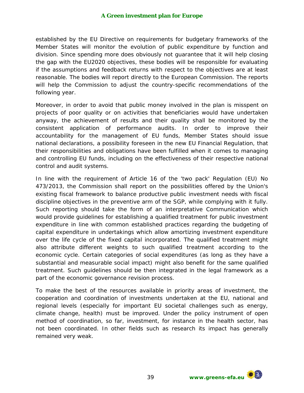established by the EU Directive on requirements for budgetary frameworks of the Member States will monitor the evolution of public expenditure by function and division. Since spending more does obviously not guarantee that it will help closing the gap with the EU2020 objectives, these bodies will be responsible for evaluating if the assumptions and feedback returns with respect to the objectives are at least reasonable. The bodies will report directly to the European Commission. The reports will help the Commission to adjust the country-specific recommendations of the following year.

Moreover, in order to avoid that public money involved in the plan is misspent on projects of poor quality or on activities that beneficiaries would have undertaken anyway, the achievement of results and their quality shall be monitored by the consistent application of performance audits. In order to improve their accountability for the management of EU funds, Member States should issue national declarations, a possibility foreseen in the new EU Financial Regulation, that their responsibilities and obligations have been fulfilled when it comes to managing and controlling EU funds, including on the effectiveness of their respective national control and audit systems.

In line with the requirement of Article 16 of the 'two pack' Regulation (EU) No 473/2013, the Commission shall report on the possibilities offered by the Union's existing fiscal framework to balance productive public investment needs with fiscal discipline objectives in the preventive arm of the SGP, while complying with it fully. Such reporting should take the form of an interpretative Communication which would provide guidelines for establishing a qualified treatment for public investment expenditure in line with common established practices regarding the budgeting of capital expenditure in undertakings which allow amortizing investment expenditure over the life cycle of the fixed capital incorporated. The qualified treatment might also attribute different weights to such qualified treatment according to the economic cycle. Certain categories of social expenditures (as long as they have a substantial and measurable social impact) might also benefit for the same qualified treatment. Such guidelines should be then integrated in the legal framework as a part of the economic governance revision process.

To make the best of the resources available in priority areas of investment, the cooperation and coordination of investments undertaken at the EU, national and regional levels (especially for important EU societal challenges such as energy, climate change, health) must be improved. Under the policy instrument of open method of coordination, so far, investment, for instance in the health sector, has not been coordinated. In other fields such as research its impact has generally remained very weak.